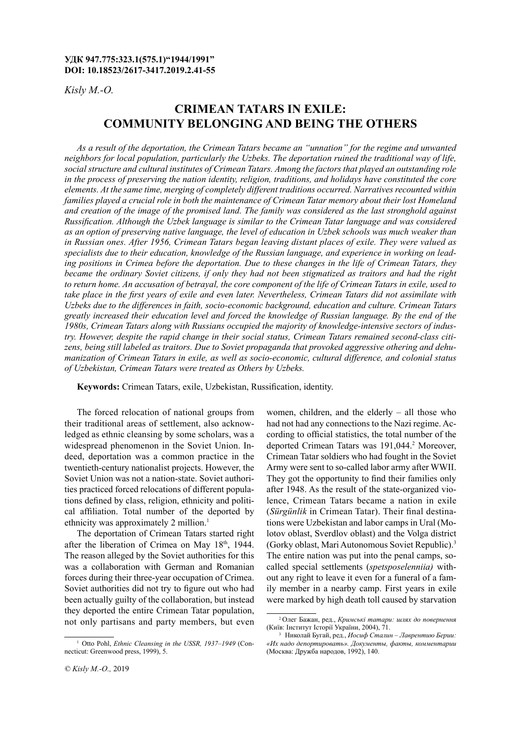### **УДК 947.775:323.1(575.1)"1944/1991" DOI: 10.18523/2617-3417.2019.2.41-55**

*Kisly M.-O.*

# **Crimean Tatars in exile: community belonging and being the Others**

*As a result of the deportation, the Crimean Tatars became an "unnation" for the regime and unwanted neighbors for local population, particularly the Uzbeks. The deportation ruined the traditional way of life, social structure and cultural institutes of Crimean Tatars. Among the factors that played an outstanding role in the process of preserving the nation identity, religion, traditions, and holidays have constituted the core elements. At the same time, merging of completely different traditions occurred. Narratives recounted within families played a crucial role in both the maintenance of Crimean Tatar memory about their lost Homeland and creation of the image of the promised land. The family was considered as the last stronghold against Russification. Although the Uzbek language is similar to the Crimean Tatar language and was considered as an option of preserving native language, the level of education in Uzbek schools was much weaker than in Russian ones. After 1956, Crimean Tatars began leaving distant places of exile. They were valued as specialists due to their education, knowledge of the Russian language, and experience in working on leading positions in Crimea before the deportation. Due to these changes in the life of Crimean Tatars, they became the ordinary Soviet citizens, if only they had not been stigmatized as traitors and had the right to return home. An accusation of betrayal, the core component of the life of Crimean Tatars in exile, used to take place in the first years of exile and even later. Nevertheless, Crimean Tatars did not assimilate with Uzbeks due to the differences in faith, socio-economic background, education and culture. Crimean Tatars greatly increased their education level and forced the knowledge of Russian language. By the end of the 1980s, Crimean Tatars along with Russians occupied the majority of knowledge-intensive sectors of industry. However, despite the rapid change in their social status, Crimean Tatars remained second-class citizens, being still labeled as traitors. Due to Soviet propaganda that provoked aggressive othering and dehumanization of Crimean Tatars in exile, as well as socio-economic, cultural difference, and colonial status of Uzbekistan, Crimean Tatars were treated as Others by Uzbeks.*

**Keywords:** Crimean Tatars, exile, Uzbekistan, Russification, identity.

The forced relocation of national groups from their traditional areas of settlement, also acknowledged as ethnic cleansing by some scholars, was a widespread phenomenon in the Soviet Union. Indeed, deportation was a common practice in the twentieth-century nationalist projects. However, the Soviet Union was not a nation-state. Soviet authorities practiced forced relocations of different populations defined by class, religion, ethnicity and political affiliation. Total number of the deported by ethnicity was approximately 2 million.<sup>1</sup>

The deportation of Crimean Tatars started right after the liberation of Crimea on May 18<sup>th</sup>, 1944. The reason alleged by the Soviet authorities for this was a collaboration with German and Romanian forces during their three-year occupation of Crimea. Soviet authorities did not try to figure out who had been actually guilty of the collaboration, but instead they deported the entire Crimean Tatar population, not only partisans and party members, but even

women, children, and the elderly – all those who had not had any connections to the Nazi regime. According to official statistics, the total number of the deported Crimean Tatars was 191,044.<sup>2</sup> Moreover, Crimean Tatar soldiers who had fought in the Soviet Army were sent to so-called labor army after WWII. They got the opportunity to find their families only after 1948. As the result of the state-organized violence, Crimean Tatars became a nation in exile (*Sürgünlik* in Crimean Tatar). Their final destinations were Uzbekistan and labor camps in Ural (Molotov oblast, Sverdlov oblast) and the Volga district (Gorky oblast, Mari Autonomous Soviet Republic).3 The entire nation was put into the penal camps, socalled special settlements (*spetsposelenniia)* without any right to leave it even for a funeral of a family member in a nearby camp. First years in exile were marked by high death toll caused by starvation

<sup>1</sup> Otto Pohl, *Ethnic Cleansing in the USSR, 1937–1949* (Connecticut: Greenwood press, 1999), 5.

<sup>2</sup> Олег Бажан, ред., *Кримські татари: шлях до повернення* (Київ: Інститут Історії України, 2004), 71.

<sup>3</sup> Николай Бугай, ред., *Иосиф Сталин – Лаврентию Берии: «Их надо депортировать». Документы, факты, комментарии* (Москва: Дружба народов, 1992), 140.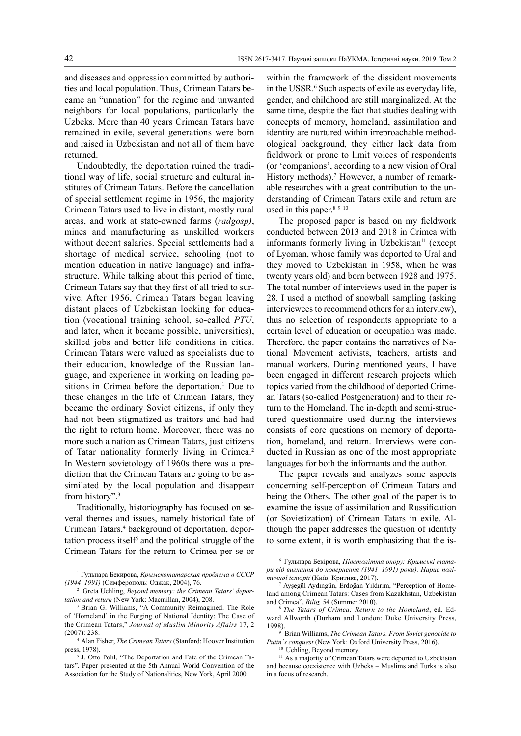and diseases and oppression committed by authorities and local population. Thus, Crimean Tatars became an "unnation" for the regime and unwanted neighbors for local populations, particularly the Uzbeks. More than 40 years Crimean Tatars have remained in exile, several generations were born and raised in Uzbekistan and not all of them have returned.

Undoubtedly, the deportation ruined the traditional way of life, social structure and cultural institutes of Crimean Tatars. Before the cancellation of special settlement regime in 1956, the majority Crimean Tatars used to live in distant, mostly rural areas, and work at state-owned farms (*radgosp)*, mines and manufacturing as unskilled workers without decent salaries. Special settlements had a shortage of medical service, schooling (not to mention education in native language) and infrastructure. While talking about this period of time, Crimean Tatars say that they first of all tried to survive. After 1956, Crimean Tatars began leaving distant places of Uzbekistan looking for education (vocational training school, so-called *PTU*, and later, when it became possible, universities), skilled jobs and better life conditions in cities. Crimean Tatars were valued as specialists due to their education, knowledge of the Russian language, and experience in working on leading positions in Crimea before the deportation.<sup>1</sup> Due to these changes in the life of Crimean Tatars, they became the ordinary Soviet citizens, if only they had not been stigmatized as traitors and had had the right to return home. Moreover, there was no more such a nation as Crimean Tatars, just citizens of Tatar nationality formerly living in Crimea.<sup>2</sup> In Western sovietology of 1960s there was a prediction that the Crimean Tatars are going to be assimilated by the local population and disappear from history".3

Traditionally, historiography has focused on several themes and issues, namely historical fate of Crimean Tatars,<sup>4</sup> background of deportation, deportation process itself<sup>5</sup> and the political struggle of the Crimean Tatars for the return to Crimea per se or

within the framework of the dissident movements in the USSR.<sup>6</sup> Such aspects of exile as everyday life, gender, and childhood are still marginalized. At the same time, despite the fact that studies dealing with concepts of memory, homeland, assimilation and identity are nurtured within irreproachable methodological background, they either lack data from fieldwork or prone to limit voices of respondents (or 'companions', according to a new vision of Oral History methods).<sup>7</sup> However, a number of remarkable researches with a great contribution to the understanding of Crimean Tatars exile and return are used in this paper.<sup>8 9 10</sup>

The proposed paper is based on my fieldwork conducted between 2013 and 2018 in Crimea with informants formerly living in Uzbekistan $<sup>11</sup>$  (except</sup> of Lyoman, whose family was deported to Ural and they moved to Uzbekistan in 1958, when he was twenty years old) and born between 1928 and 1975. The total number of interviews used in the paper is 28. I used a method of snowball sampling (asking interviewees to recommend others for an interview), thus no selection of respondents appropriate to a certain level of education or occupation was made. Therefore, the paper contains the narratives of National Movement activists, teachers, artists and manual workers. During mentioned years, I have been engaged in different research projects which topics varied from the childhood of deported Crimean Tatars (so-called Postgeneration) and to their return to the Homeland. The in-depth and semi-structured questionnaire used during the interviews consists of core questions on memory of deportation, homeland, and return. Interviews were conducted in Russian as one of the most appropriate languages for both the informants and the author.

The paper reveals and analyzes some aspects concerning self-perception of Crimean Tatars and being the Others. The other goal of the paper is to examine the issue of assimilation and Russification (or Sovietization) of Crimean Tatars in exile. Although the paper addresses the question of identity to some extent, it is worth emphasizing that the is-

9 Brian Williams, *The Crimean Tatars. From Soviet genocide to Putin`s conquest* (New York: Oxford University Press, 2016).

<sup>10</sup> Uehling, Beyond memory.

<sup>1</sup> Гульнара Бекирова, *Крымскотатарская проблема в СССР (1944–1991)* (Симферополь: Оджак, 2004), 76.

<sup>2</sup> Greta Uehling, *Beyond memory: the Crimean Tatars' deportation and return* (New York: Macmillan, 2004), 208.

<sup>3</sup> Brian G. Williams, "A Community Reimagined. The Role of 'Homeland' in the Forging of National Identity: The Case of the Crimean Tatars," *Journal of Muslim Minority Affairs* 17, 2 (2007): 238.

<sup>4</sup> Alan Fisher, *The Crimean Tatars* (Stanford: Hoover Institution press, 1978).

<sup>5</sup> J. Otto Pohl, "The Deportation and Fate of the Crimean Tatars". Paper presented at the 5th Annual World Convention of the Association for the Study of Nationalities, New York, April 2000.

<sup>6</sup> Гульнара Бекірова, *Півстоліття опору: Кримські татари від вигнання до повернення (1941–1991) роки). Нарис політичної історії* (Київ: Критика, 2017).

Ayşegül Aydıngün, Erdoğan Yıldırım, "Perception of Homeland among Crimean Tatars: Cases from Kazakhstan, Uzbekistan and Crimea", Bilig, 54 (Summer 2010).

The Tatars of Crimea: Return to the Homeland, ed. Edward Allworth (Durham and London: Duke University Press,  $1998$ <sub>9</sub>

<sup>&</sup>lt;sup>11</sup> As a majority of Crimean Tatars were deported to Uzbekistan and because coexistence with Uzbeks – Muslims and Turks is also in a focus of research.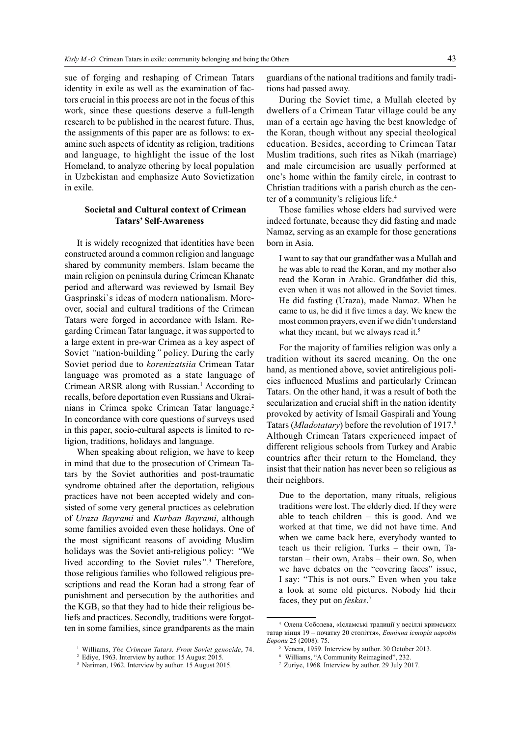sue of forging and reshaping of Crimean Tatars identity in exile as well as the examination of factors crucial in this process are not in the focus of this work, since these questions deserve a full-length research to be published in the nearest future. Thus, the assignments of this paper are as follows: to examine such aspects of identity as religion, traditions and language, to highlight the issue of the lost Homeland, to analyze othering by local population in Uzbekistan and emphasize Auto Sovietization in exile.

### **Societal and Cultural context of Crimean Tatars' Self-Awareness**

It is widely recognized that identities have been constructed around a common religion and language shared by community members. Islam became the main religion on peninsula during Crimean Khanate period and afterward was reviewed by Ismail Bey Gasprinski`s ideas of modern nationalism. Moreover, social and cultural traditions of the Crimean Tatars were forged in accordance with Islam. Regarding Crimean Tatar language, it was supported to a large extent in pre-war Crimea as a key aspect of Soviet *"*nation-building*"* policy. During the early Soviet period due to *korenizatsiia* Crimean Tatar language was promoted as a state language of Crimean ARSR along with Russian.<sup>1</sup> According to recalls, before deportation even Russians and Ukrainians in Crimea spoke Crimean Tatar language.<sup>2</sup> In concordance with core questions of surveys used in this paper, socio-cultural aspects is limited to religion, traditions, holidays and language.

When speaking about religion, we have to keep in mind that due to the prosecution of Crimean Tatars by the Soviet authorities and post-traumatic syndrome obtained after the deportation, religious practices have not been accepted widely and consisted of some very general practices as celebration of *Uraza Bayrami* and *Kurban Bayrami*, although some families avoided even these holidays. One of the most significant reasons of avoiding Muslim holidays was the Soviet anti-religious policy: *"*We lived according to the Soviet rules*".*<sup>3</sup> Therefore, those religious families who followed religious prescriptions and read the Koran had a strong fear of punishment and persecution by the authorities and the KGB, so that they had to hide their religious beliefs and practices. Secondly, traditions were forgotten in some families, since grandparents as the main

guardians of the national traditions and family traditions had passed away.

During the Soviet time, a Mullah elected by dwellers of a Crimean Tatar village could be any man of a certain age having the best knowledge of the Koran, though without any special theological education. Besides, according to Crimean Tatar Muslim traditions, such rites as Nikah (marriage) and male circumcision are usually performed at one's home within the family circle, in contrast to Christian traditions with a parish church as the center of a community's religious life.<sup>4</sup>

Those families whose elders had survived were indeed fortunate, because they did fasting and made Namaz, serving as an example for those generations born in Asia.

I want to say that our grandfather was a Mullah and he was able to read the Koran, and my mother also read the Koran in Arabic. Grandfather did this, even when it was not allowed in the Soviet times. He did fasting (Uraza), made Namaz. When he came to us, he did it five times a day. We knew the most common prayers, even if we didn't understand what they meant, but we always read it.<sup>5</sup>

For the majority of families religion was only a tradition without its sacred meaning. On the one hand, as mentioned above, soviet antireligious policies influenced Muslims and particularly Crimean Tatars. On the other hand, it was a result of both the secularization and crucial shift in the nation identity provoked by activity of Ismail Gaspirali and Young Tatars (*Mladotatary*) before the revolution of 1917.6 Although Crimean Tatars experienced impact of different religious schools from Turkey and Arabic countries after their return to the Homeland, they insist that their nation has never been so religious as their neighbors.

Due to the deportation, many rituals, religious traditions were lost. The elderly died. If they were able to teach children – this is good. And we worked at that time, we did not have time. And when we came back here, everybody wanted to teach us their religion. Turks – their own, Tatarstan – their own, Arabs – their own. So, when we have debates on the "covering faces" issue, I say: "This is not ours." Even when you take a look at some old pictures. Nobody hid their faces, they put on *feskas*. 7

<sup>1</sup> Williams, *The Crimean Tatars. From Soviet genocide*, 74.

<sup>2</sup> Ediye, 1963. Interview by author. 15 August 2015.

<sup>&</sup>lt;sup>3</sup> Nariman, 1962. Interview by author. 15 August 2015.

<sup>4</sup> Олена Соболева, «Ісламські традиції у весіллі кримських татар кінця 19 – початку 20 століття», *Етнічна історія народів Европи* 25 (2008): 75.

<sup>5</sup> Venera, 1959. Interview by author. 30 October 2013.

<sup>6</sup> Williams, "A Community Reimagined", 232.

<sup>7</sup> Zuriye, 1968. Interview by author. 29 July 2017.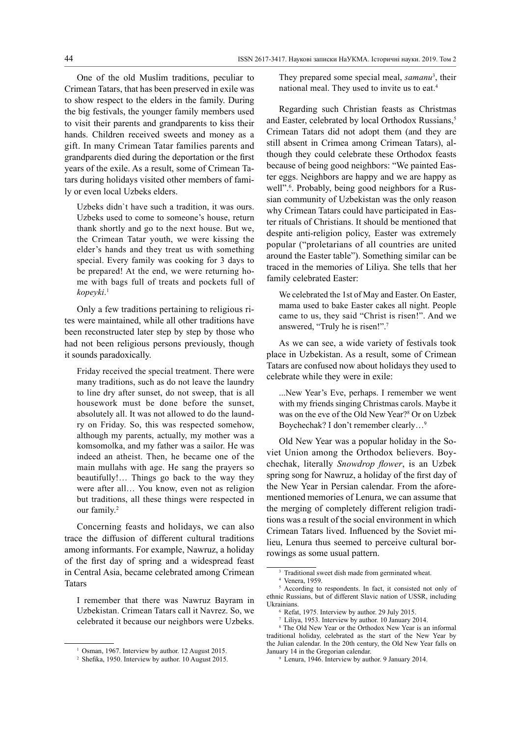One of the old Muslim traditions, peculiar to Crimean Tatars, that has been preserved in exile was to show respect to the elders in the family. During the big festivals, the younger family members used to visit their parents and grandparents to kiss their hands. Children received sweets and money as a gift. In many Crimean Tatar families parents and grandparents died during the deportation or the first years of the exile. As a result, some of Crimean Tatars during holidays visited other members of family or even local Uzbeks elders.

Uzbeks didn`t have such a tradition, it was ours. Uzbeks used to come to someone's house, return thank shortly and go to the next house. But we, the Crimean Tatar youth, we were kissing the elder's hands and they treat us with something special. Every family was cooking for 3 days to be prepared! At the end, we were returning home with bags full of treats and pockets full of *kopeyki*. 1

Only a few traditions pertaining to religious rites were maintained, while all other traditions have been reconstructed later step by step by those who had not been religious persons previously, though it sounds paradoxically.

Friday received the special treatment. There were many traditions, such as do not leave the laundry to line dry after sunset, do not sweep, that is all housework must be done before the sunset, absolutely all. It was not allowed to do the laundry on Friday. So, this was respected somehow, although my parents, actually, my mother was a komsomolka, and my father was a sailor. He was indeed an atheist. Then, he became one of the main mullahs with age. He sang the prayers so beautifully!… Things go back to the way they were after all… You know, even not as religion but traditions, all these things were respected in our family.<sup>2</sup>

Concerning feasts and holidays, we can also trace the diffusion of different cultural traditions among informants. For example, Nawruz, a holiday of the first day of spring and a widespread feast in Central Asia, became celebrated among Crimean Tatars

I remember that there was Nawruz Bayram in Uzbekistan. Crimean Tatars call it Navrez. So, we celebrated it because our neighbors were Uzbeks. They prepared some special meal, *samanu*<sup>3</sup> , their national meal. They used to invite us to eat.<sup>4</sup>

Regarding such Christian feasts as Christmas and Easter, celebrated by local Orthodox Russians,<sup>5</sup> Crimean Tatars did not adopt them (and they are still absent in Crimea among Crimean Tatars), although they could celebrate these Orthodox feasts because of being good neighbors: "We painted Easter eggs. Neighbors are happy and we are happy as well".<sup>6</sup>. Probably, being good neighbors for a Russian community of Uzbekistan was the only reason why Crimean Tatars could have participated in Easter rituals of Christians. It should be mentioned that despite anti-religion policy, Easter was extremely popular ("proletarians of all countries are united around the Easter table"). Something similar can be traced in the memories of Liliya. She tells that her family celebrated Easter:

We celebrated the 1st of May and Easter. On Easter, mama used to bake Easter cakes all night. People came to us, they said "Christ is risen!". And we answered, "Truly he is risen!".7

As we can see, a wide variety of festivals took place in Uzbekistan. As a result, some of Crimean Tatars are confused now about holidays they used to celebrate while they were in exile:

...New Year's Eve, perhaps. I remember we went with my friends singing Christmas carols. Maybe it was on the eve of the Old New Year?8 Or on Uzbek Boychechak? I don't remember clearly…9

Old New Year was a popular holiday in the Soviet Union among the Orthodox believers. Boychechak, literally *Snowdrop flower*, is an Uzbek spring song for Nawruz, a holiday of the first day of the New Year in Persian calendar. From the aforementioned memories of Lenura, we can assume that the merging of completely different religion traditions was a result of the social environment in which Crimean Tatars lived. Influenced by the Soviet milieu, Lenura thus seemed to perceive cultural borrowings as some usual pattern.

<sup>&</sup>lt;sup>1</sup> Osman, 1967. Interview by author. 12 August 2015.

<sup>2</sup> Shefika, 1950. Interview by author. 10 August 2015.

Traditional sweet dish made from germinated wheat.

<sup>4</sup> Venera, 1959.

<sup>&</sup>lt;sup>5</sup> According to respondents. In fact, it consisted not only of ethnic Russians, but of different Slavic nation of USSR, including Ukrainians.

<sup>6</sup> Refat, 1975. Interview by author. 29 July 2015.

Liliya, 1953. Interview by author. 10 January 2014.

The Old New Year or the Orthodox New Year is an informal traditional holiday, celebrated as the start of the New Year by the Julian calendar. In the 20th century, the Old New Year falls on January 14 in the Gregorian calendar.

<sup>9</sup> Lenura, 1946. Interview by author. 9 January 2014.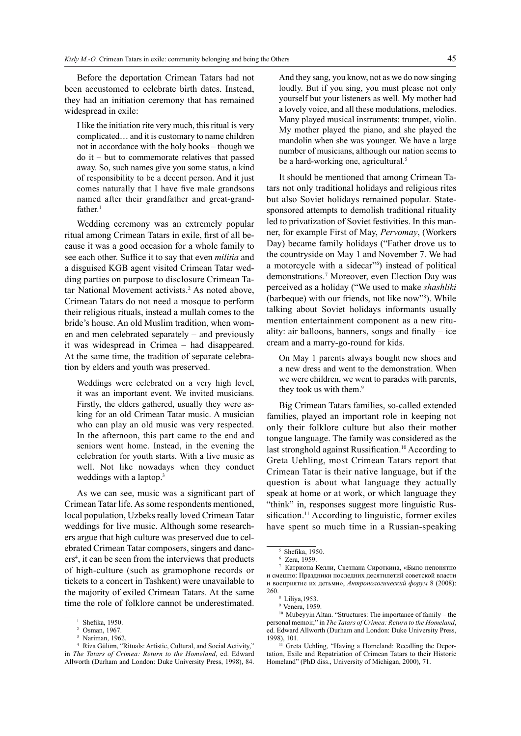Before the deportation Crimean Tatars had not been accustomed to celebrate birth dates. Instead, they had an initiation ceremony that has remained widespread in exile:

I like the initiation rite very much, this ritual is very complicated… and it is customary to name children not in accordance with the holy books – though we do it – but to commemorate relatives that passed away. So, such names give you some status, a kind of responsibility to be a decent person. And it just comes naturally that I have five male grandsons named after their grandfather and great-grand $f$ ather.<sup>1</sup>

Wedding ceremony was an extremely popular ritual among Crimean Tatars in exile, first of all because it was a good occasion for a whole family to see each other. Suffice it to say that even *militia* and a disguised KGB agent visited Crimean Tatar wedding parties on purpose to disclosure Crimean Tatar National Movement activists.<sup>2</sup> As noted above, Crimean Tatars do not need a mosque to perform their religious rituals, instead a mullah comes to the bride's house. An old Muslim tradition, when women and men celebrated separately – and previously it was widespread in Crimea – had disappeared. At the same time, the tradition of separate celebration by elders and youth was preserved.

Weddings were celebrated on a very high level, it was an important event. We invited musicians. Firstly, the elders gathered, usually they were asking for an old Crimean Tatar music. A musician who can play an old music was very respected. In the afternoon, this part came to the end and seniors went home. Instead, in the evening the celebration for youth starts. With a live music as well. Not like nowadays when they conduct weddings with a laptop.<sup>3</sup>

As we can see, music was a significant part of Crimean Tatar life. As some respondents mentioned, local population, Uzbeks really loved Crimean Tatar weddings for live music. Although some researchers argue that high culture was preserved due to celebrated Crimean Tatar composers, singers and dancers<sup>4</sup>, it can be seen from the interviews that products of high-culture (such as gramophone records or tickets to a concert in Tashkent) were unavailable to the majority of exiled Crimean Tatars. At the same time the role of folklore cannot be underestimated.

And they sang, you know, not as we do now singing loudly. But if you sing, you must please not only yourself but your listeners as well. My mother had a lovely voice, and all these modulations, melodies. Many played musical instruments: trumpet, violin. My mother played the piano, and she played the mandolin when she was younger. We have a large number of musicians, although our nation seems to be a hard-working one, agricultural.<sup>5</sup>

It should be mentioned that among Crimean Tatars not only traditional holidays and religious rites but also Soviet holidays remained popular. Statesponsored attempts to demolish traditional rituality led to privatization of Soviet festivities. In this manner, for example First of May, *Pervomay*, (Workers Day) became family holidays ("Father drove us to the countryside on May 1 and November 7. We had a motorcycle with a sidecar"6 ) instead of political demonstrations.7 Moreover, even Election Day was perceived as a holiday ("We used to make *shashliki* (barbeque) with our friends, not like now"8 ). While talking about Soviet holidays informants usually mention entertainment component as a new rituality: air balloons, banners, songs and finally – ice cream and a marry-go-round for kids.

On May 1 parents always bought new shoes and a new dress and went to the demonstration. When we were children, we went to parades with parents, they took us with them.<sup>9</sup>

Big Crimean Tatars families, so-called extended families, played an important role in keeping not only their folklore culture but also their mother tongue language. The family was considered as the last stronghold against Russification.<sup>10</sup> According to Greta Uehling, most Crimean Tatars report that Crimean Tatar is their native language, but if the question is about what language they actually speak at home or at work, or which language they "think" in, responses suggest more linguistic Russification.<sup>11</sup> According to linguistic, former exiles have spent so much time in a Russian-speaking

Shefika, 1950.<br>Osman, 1967.

Nariman, 1962.

<sup>4</sup> Riza Gülüm, "Rituals: Artistic, Cultural, and Social Activity," in *The Tatars of Crimea: Return to the Homeland*, ed. Edward Allworth (Durham and London: Duke University Press, 1998), 84.

 $\frac{5}{6}$  Shefika, 1950.<br> $\frac{6}{6}$  Zera 1959

<sup>&</sup>lt;sup>7</sup> Катриона Келли, Светлана Сироткина, «Было непонятно и смешно: Праздники последних десятилетий советской власти и восприятие их детьми», *Антропологический форум* 8 (2008): 260.<br>8 Liliya, 1953.

<sup>9</sup> Venera, 1959.

<sup>10</sup> Mubeyyin Altan. "Structures: The importance of family – the personal memoir," in *The Tatars of Crimea: Return to the Homeland*, ed. Edward Allworth (Durham and London: Duke University Press, 1998), 101.

<sup>&</sup>lt;sup>11</sup> Greta Uehling, "Having a Homeland: Recalling the Deportation, Exile and Repatriation of Crimean Tatars to their Historic Homeland" (PhD diss., University of Michigan, 2000), 71.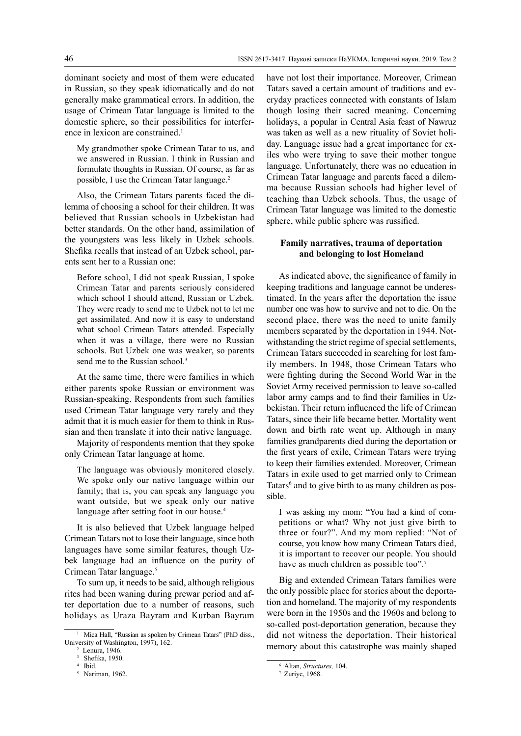dominant society and most of them were educated in Russian, so they speak idiomatically and do not generally make grammatical errors. In addition, the usage of Crimean Tatar language is limited to the domestic sphere, so their possibilities for interference in lexicon are constrained.<sup>1</sup>

My grandmother spoke Crimean Tatar to us, and we answered in Russian. I think in Russian and formulate thoughts in Russian. Of course, as far as possible, I use the Crimean Tatar language.<sup>2</sup>

Also, the Crimean Tatars parents faced the dilemma of choosing a school for their children. It was believed that Russian schools in Uzbekistan had better standards. On the other hand, assimilation of the youngsters was less likely in Uzbek schools. Shefika recalls that instead of an Uzbek school, parents sent her to a Russian one:

Before school, I did not speak Russian, I spoke Crimean Tatar and parents seriously considered which school I should attend, Russian or Uzbek. They were ready to send me to Uzbek not to let me get assimilated. And now it is easy to understand what school Crimean Tatars attended. Especially when it was a village, there were no Russian schools. But Uzbek one was weaker, so parents send me to the Russian school.<sup>3</sup>

At the same time, there were families in which either parents spoke Russian or environment was Russian-speaking. Respondents from such families used Crimean Tatar language very rarely and they admit that it is much easier for them to think in Russian and then translate it into their native language.

Majority of respondents mention that they spoke only Crimean Tatar language at home.

The language was obviously monitored closely. We spoke only our native language within our family; that is, you can speak any language you want outside, but we speak only our native language after setting foot in our house.<sup>4</sup>

It is also believed that Uzbek language helped Crimean Tatars not to lose their language, since both languages have some similar features, though Uzbek language had an influence on the purity of Crimean Tatar language.5

To sum up, it needs to be said, although religious rites had been waning during prewar period and after deportation due to a number of reasons, such holidays as Uraza Bayram and Kurban Bayram have not lost their importance. Moreover, Crimean Tatars saved a certain amount of traditions and everyday practices connected with constants of Islam though losing their sacred meaning. Concerning holidays, a popular in Central Asia feast of Nawruz was taken as well as a new rituality of Soviet holiday. Language issue had a great importance for exiles who were trying to save their mother tongue language. Unfortunately, there was no education in Crimean Tatar language and parents faced a dilemma because Russian schools had higher level of teaching than Uzbek schools. Thus, the usage of Crimean Tatar language was limited to the domestic sphere, while public sphere was russified.

### **Family narratives, trauma of deportation and belonging to lost Homeland**

As indicated above, the significance of family in keeping traditions and language cannot be underestimated. In the years after the deportation the issue number one was how to survive and not to die. On the second place, there was the need to unite family members separated by the deportation in 1944. Notwithstanding the strict regime of special settlements, Crimean Tatars succeeded in searching for lost family members. In 1948, those Crimean Tatars who were fighting during the Second World War in the Soviet Army received permission to leave so-called labor army camps and to find their families in Uzbekistan. Their return influenced the life of Crimean Tatars, since their life became better. Mortality went down and birth rate went up. Although in many families grandparents died during the deportation or the first years of exile, Crimean Tatars were trying to keep their families extended. Moreover, Crimean Tatars in exile used to get married only to Crimean Tatars<sup>6</sup> and to give birth to as many children as possible.

I was asking my mom: "You had a kind of competitions or what? Why not just give birth to three or four?". And my mom replied: "Not of course, you know how many Crimean Tatars died, it is important to recover our people. You should have as much children as possible too".<sup>7</sup>

Big and extended Crimean Tatars families were the only possible place for stories about the deportation and homeland. The majority of my respondents were born in the 1950s and the 1960s and belong to so-called post-deportation generation, because they did not witness the deportation. Their historical memory about this catastrophe was mainly shaped

<sup>&</sup>lt;sup>1</sup> Mica Hall, "Russian as spoken by Crimean Tatars" (PhD diss., University of Washington, 1997), 162.<br> $2$  Lenura, 1946.

Shefika, 1950.

<sup>4</sup> Ibid.

<sup>5</sup> Nariman, 1962.

<sup>6</sup> Altan, *Structures,* 104.

<sup>7</sup> Zuriye, 1968.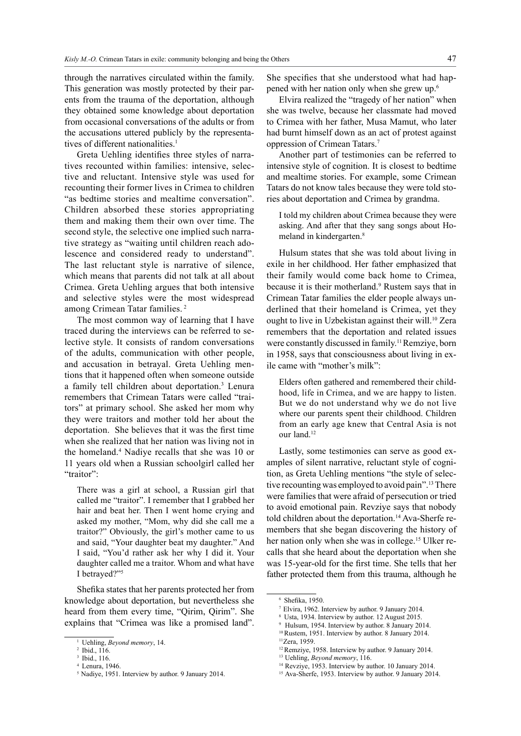through the narratives circulated within the family. This generation was mostly protected by their parents from the trauma of the deportation, although they obtained some knowledge about deportation from occasional conversations of the adults or from the accusations uttered publicly by the representatives of different nationalities.<sup>1</sup>

Greta Uehling identifies three styles of narratives recounted within families: intensive, selective and reluctant. Intensive style was used for recounting their former lives in Crimea to children "as bedtime stories and mealtime conversation". Children absorbed these stories appropriating them and making them their own over time. The second style, the selective one implied such narrative strategy as "waiting until children reach adolescence and considered ready to understand". The last reluctant style is narrative of silence, which means that parents did not talk at all about Crimea. Greta Uehling argues that both intensive and selective styles were the most widespread among Crimean Tatar families. 2

The most common way of learning that I have traced during the interviews can be referred to selective style. It consists of random conversations of the adults, communication with other people, and accusation in betrayal. Greta Uehling mentions that it happened often when someone outside a family tell children about deportation.<sup>3</sup> Lenura remembers that Crimean Tatars were called "traitors" at primary school. She asked her mom why they were traitors and mother told her about the deportation. She believes that it was the first time when she realized that her nation was living not in the homeland.<sup>4</sup> Nadiye recalls that she was 10 or 11 years old when a Russian schoolgirl called her "traitor":

There was a girl at school, a Russian girl that called me "traitor". I remember that I grabbed her hair and beat her. Then I went home crying and asked my mother, "Mom, why did she call me a traitor?" Obviously, the girl's mother came to us and said, "Your daughter beat my daughter." And I said, "You'd rather ask her why I did it. Your daughter called me a traitor. Whom and what have I betrayed?"5

Shefika states that her parents protected her from knowledge about deportation, but nevertheless she heard from them every time, "Qirim, Qirim". She explains that "Crimea was like a promised land".

She specifies that she understood what had happened with her nation only when she grew up.6

Elvira realized the "tragedy of her nation" when she was twelve, because her classmate had moved to Crimea with her father, Musa Mamut, who later had burnt himself down as an act of protest against oppression of Crimean Tatars.7

Another part of testimonies can be referred to intensive style of cognition. It is closest to bedtime and mealtime stories. For example, some Crimean Tatars do not know tales because they were told stories about deportation and Crimea by grandma.

I told my children about Crimea because they were asking. And after that they sang songs about Homeland in kindergarten.8

Hulsum states that she was told about living in exile in her childhood. Her father emphasized that their family would come back home to Crimea, because it is their motherland.<sup>9</sup> Rustem says that in Crimean Tatar families the elder people always underlined that their homeland is Crimea, yet they ought to live in Uzbekistan against their will.<sup>10</sup> Zera remembers that the deportation and related issues were constantly discussed in family.<sup>11</sup> Remziye, born in 1958, says that consciousness about living in exile came with "mother's milk":

Elders often gathered and remembered their childhood, life in Crimea, and we are happy to listen. But we do not understand why we do not live where our parents spent their childhood. Children from an early age knew that Central Asia is not our land.<sup>12</sup>

Lastly, some testimonies can serve as good examples of silent narrative, reluctant style of cognition, as Greta Uehling mentions "the style of selective recounting was employed to avoid pain".13 There were families that were afraid of persecution or tried to avoid emotional pain. Revziye says that nobody told children about the deportation.<sup>14</sup> Ava-Sherfe remembers that she began discovering the history of her nation only when she was in college.<sup>15</sup> Ulker recalls that she heard about the deportation when she was 15-year-old for the first time. She tells that her father protected them from this trauma, although he

<sup>9</sup> Hulsum, 1954. Interview by author. 8 January 2014.

<sup>1</sup> Uehling, *Beyond memory*, 14.

<sup>2</sup> Ibid., 116.

 $3$  Ibid., 116.

<sup>4</sup> Lenura, 1946.

<sup>5</sup> Nadiye, 1951. Interview by author. 9 January 2014.

<sup>6</sup> Shefika, 1950.

Elvira, 1962. Interview by author. 9 January 2014.

<sup>8</sup> Usta, 1934. Interview by author. 12 August 2015.

<sup>&</sup>lt;sup>10</sup>Rustem, 1951. Interview by author. 8 January 2014. 11Zera, 1959.

<sup>&</sup>lt;sup>12</sup> Remziye, 1958. Interview by author. 9 January 2014.

<sup>13</sup> Uehling, *Beyond memory*, 116.

<sup>&</sup>lt;sup>14</sup> Revziye, 1953. Interview by author. 10 January 2014.

<sup>&</sup>lt;sup>15</sup> Ava-Sherfe, 1953. Interview by author. 9 January 2014.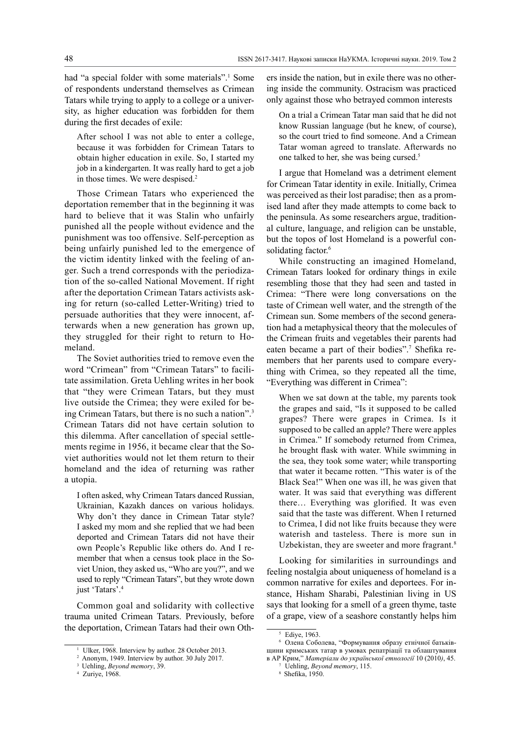had "a special folder with some materials".<sup>1</sup> Some of respondents understand themselves as Crimean Tatars while trying to apply to a college or a university, as higher education was forbidden for them during the first decades of exile:

After school I was not able to enter a college, because it was forbidden for Crimean Tatars to obtain higher education in exile. So, I started my job in a kindergarten. It was really hard to get a job in those times. We were despised.<sup>2</sup>

Those Crimean Tatars who experienced the deportation remember that in the beginning it was hard to believe that it was Stalin who unfairly punished all the people without evidence and the punishment was too offensive. Self-perception as being unfairly punished led to the emergence of the victim identity linked with the feeling of anger. Such a trend corresponds with the periodization of the so-called National Movement. If right after the deportation Crimean Tatars activists asking for return (so-called Letter-Writing) tried to persuade authorities that they were innocent, afterwards when a new generation has grown up, they struggled for their right to return to Homeland.

The Soviet authorities tried to remove even the word "Crimean" from "Crimean Tatars" to facilitate assimilation. Greta Uehling writes in her book that "they were Crimean Tatars, but they must live outside the Crimea; they were exiled for being Crimean Tatars, but there is no such a nation".3 Crimean Tatars did not have certain solution to this dilemma. After cancellation of special settlements regime in 1956, it became clear that the Soviet authorities would not let them return to their homeland and the idea of returning was rather a utopia.

I often asked, why Crimean Tatars danced Russian, Ukrainian, Kazakh dances on various holidays. Why don't they dance in Crimean Tatar style? I asked my mom and she replied that we had been deported and Crimean Tatars did not have their own People's Republic like others do. And I remember that when a census took place in the Soviet Union, they asked us, "Who are you?", and we used to reply "Crimean Tatars", but they wrote down just 'Tatars'.<sup>4</sup>

Common goal and solidarity with collective trauma united Crimean Tatars. Previously, before the deportation, Crimean Tatars had their own Others inside the nation, but in exile there was no othering inside the community. Ostracism was practiced only against those who betrayed common interests

On a trial a Crimean Tatar man said that he did not know Russian language (but he knew, of course), so the court tried to find someone. And a Crimean Tatar woman agreed to translate. Afterwards no one talked to her, she was being cursed.5

I argue that Homeland was a detriment element for Crimean Tatar identity in exile. Initially, Crimea was perceived as their lost paradise; then as a promised land after they made attempts to come back to the peninsula. As some researchers argue, traditional culture, language, and religion can be unstable, but the topos of lost Homeland is a powerful consolidating factor.<sup>6</sup>

While constructing an imagined Homeland, Crimean Tatars looked for ordinary things in exile resembling those that they had seen and tasted in Crimea: "There were long conversations on the taste of Crimean well water, and the strength of the Crimean sun. Some members of the second generation had a metaphysical theory that the molecules of the Crimean fruits and vegetables their parents had eaten became a part of their bodies".<sup>7</sup> Shefika remembers that her parents used to compare everything with Crimea, so they repeated all the time, "Everything was different in Crimea":

When we sat down at the table, my parents took the grapes and said, "Is it supposed to be called grapes? There were grapes in Crimea. Is it supposed to be called an apple? There were apples in Crimea." If somebody returned from Crimea, he brought flask with water. While swimming in the sea, they took some water; while transporting that water it became rotten. "This water is of the Black Sea!" When one was ill, he was given that water. It was said that everything was different there… Everything was glorified. It was even said that the taste was different. When I returned to Crimea, I did not like fruits because they were waterish and tasteless. There is more sun in Uzbekistan, they are sweeter and more fragrant.<sup>8</sup>

Looking for similarities in surroundings and feeling nostalgia about uniqueness of homeland is a common narrative for exiles and deportees. For instance, Hisham Sharabi, Palestinian living in US says that looking for a smell of a green thyme, taste of a grape, view of a seashore constantly helps him

<sup>&</sup>lt;sup>1</sup> Ulker, 1968. Interview by author. 28 October 2013.

<sup>2</sup> Anonym, 1949. Interview by author. 30 July 2017.

<sup>3</sup> Uehling, *Beyond memory*, 39.

<sup>4</sup> Zuriye, 1968.

Ediye, 1963.

Олена Соболева, "Формування образу етнічної батьківщини кримських татар в умовах репатріації та облаштування

в АР Крим," *Матеріали до української етнології* 10 (2010*)*, 45. <sup>7</sup> Uehling, *Beyond memory*, 115.

<sup>8</sup> Shefika, 1950.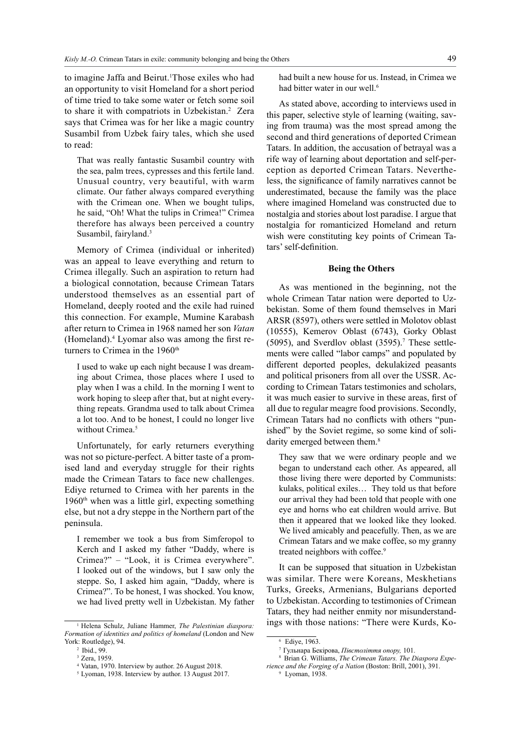to imagine Jaffa and Beirut.1 Those exiles who had an opportunity to visit Homeland for a short period of time tried to take some water or fetch some soil to share it with compatriots in Uzbekistan.<sup>2</sup> Zera says that Crimea was for her like a magic country Susambil from Uzbek fairy tales, which she used to read:

That was really fantastic Susambil country with the sea, palm trees, cypresses and this fertile land. Unusual country, very beautiful, with warm climate. Our father always compared everything with the Crimean one. When we bought tulips, he said, "Oh! What the tulips in Crimea!" Crimea therefore has always been perceived a country Susambil, fairyland.<sup>3</sup>

Memory of Crimea (individual or inherited) was an appeal to leave everything and return to Crimea illegally. Such an aspiration to return had a biological connotation, because Crimean Tatars understood themselves as an essential part of Homeland, deeply rooted and the exile had ruined this connection. For example, Mumine Karabash after return to Crimea in 1968 named her son *Vatan* (Homeland).<sup>4</sup> Lyomar also was among the first returners to Crimea in the 1960<sup>th</sup>

I used to wake up each night because I was dreaming about Crimea, those places where I used to play when I was a child. In the morning I went to work hoping to sleep after that, but at night everything repeats. Grandma used to talk about Crimea a lot too. And to be honest, I could no longer live without Crimea.<sup>5</sup>

Unfortunately, for early returners everything was not so picture-perfect. A bitter taste of a promised land and everyday struggle for their rights made the Crimean Tatars to face new challenges. Ediye returned to Crimea with her parents in the 1960<sup>th</sup> when was a little girl, expecting something else, but not a dry steppe in the Northern part of the peninsula.

I remember we took a bus from Simferopol to Kerch and I asked my father "Daddy, where is Crimea?" – "Look, it is Crimea everywhere". I looked out of the windows, but I saw only the steppe. So, I asked him again, "Daddy, where is Crimea?". To be honest, I was shocked. You know, we had lived pretty well in Uzbekistan. My father had built a new house for us. Instead, in Crimea we had bitter water in our well.<sup>6</sup>

As stated above, according to interviews used in this paper, selective style of learning (waiting, saving from trauma) was the most spread among the second and third generations of deported Crimean Tatars. In addition, the accusation of betrayal was a rife way of learning about deportation and self-perception as deported Crimean Tatars. Nevertheless, the significance of family narratives cannot be underestimated, because the family was the place where imagined Homeland was constructed due to nostalgia and stories about lost paradise. I argue that nostalgia for romanticized Homeland and return wish were constituting key points of Crimean Tatars' self-definition.

#### **Being the Others**

As was mentioned in the beginning, not the whole Crimean Tatar nation were deported to Uzbekistan. Some of them found themselves in Mari ARSR (8597), others were settled in Molotov oblast (10555), Kemerov Oblast (6743), Gorky Oblast  $(5095)$ , and Sverdlov oblast  $(3595)$ .<sup>7</sup> These settlements were called "labor camps" and populated by different deported peoples, dekulakized peasants and political prisoners from all over the USSR. According to Crimean Tatars testimonies and scholars, it was much easier to survive in these areas, first of all due to regular meagre food provisions. Secondly, Crimean Tatars had no conflicts with others "punished" by the Soviet regime, so some kind of solidarity emerged between them.<sup>8</sup>

They saw that we were ordinary people and we began to understand each other. As appeared, all those living there were deported by Communists: kulaks, political exiles… They told us that before our arrival they had been told that people with one eye and horns who eat children would arrive. But then it appeared that we looked like they looked. We lived amicably and peacefully. Then, as we are Crimean Tatars and we make coffee, so my granny treated neighbors with coffee.<sup>9</sup>

It can be supposed that situation in Uzbekistan was similar. There were Koreans, Meskhetians Turks, Greeks, Armenians, Bulgarians deported to Uzbekistan. According to testimonies of Crimean Tatars, they had neither enmity nor misunderstandings with those nations: "There were Kurds, Ko-

<sup>1</sup> Helena Schulz, Juliane Hammer, *The Palestinian diaspora: Formation of identities and politics of homeland* (London and New York: Routledge), 94.

<sup>2</sup> Ibid., 99.

<sup>3</sup> Zera, 1959.

<sup>4</sup> Vatan, 1970. Interview by author. 26 August 2018.

<sup>5</sup> Lyoman, 1938. Interview by author. 13 August 2017.

<sup>6</sup> Ediye, 1963.

<sup>7</sup> Гульнара Бекірова, *Півстоліття опору,* 101.

<sup>8</sup> Brian G. Williams, *The Crimean Tatars. The Diaspora Experience and the Forging of a Nation* (Boston: Brill, 2001), 391.

<sup>9</sup> Lyoman, 1938.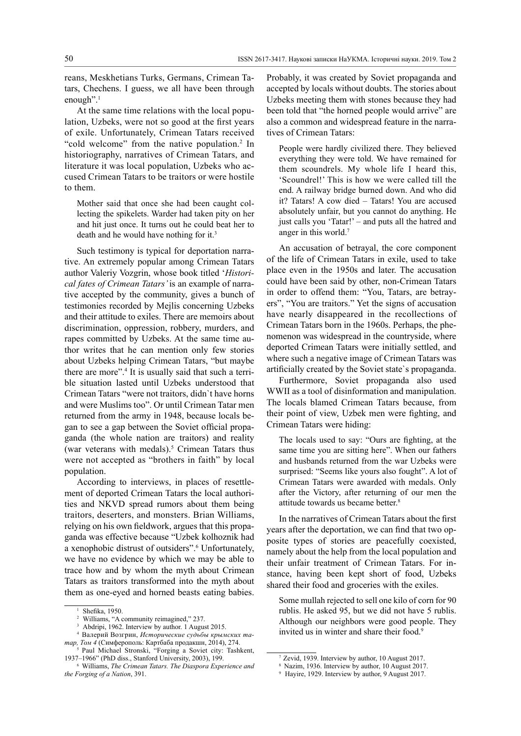reans, Meskhetians Turks, Germans, Crimean Tatars, Chechens. I guess, we all have been through enough".<sup>1</sup>

At the same time relations with the local population, Uzbeks, were not so good at the first years of exile. Unfortunately, Crimean Tatars received "cold welcome" from the native population.<sup>2</sup> In historiography, narratives of Crimean Tatars, and literature it was local population, Uzbeks who accused Crimean Tatars to be traitors or were hostile to them.

Mother said that once she had been caught collecting the spikelets. Warder had taken pity on her and hit just once. It turns out he could beat her to death and he would have nothing for it.3

Such testimony is typical for deportation narrative. An extremely popular among Crimean Tatars author Valeriy Vozgrin, whose book titled '*Historical fates of Crimean Tatars'* is an example of narrative accepted by the community, gives a bunch of testimonies recorded by Mejlis concerning Uzbeks and their attitude to exiles. There are memoirs about discrimination, oppression, robbery, murders, and rapes committed by Uzbeks. At the same time author writes that he can mention only few stories about Uzbeks helping Crimean Tatars, "but maybe there are more".<sup>4</sup> It is usually said that such a terrible situation lasted until Uzbeks understood that Crimean Tatars "were not traitors, didn`t have horns and were Muslims too". Or until Crimean Tatar men returned from the army in 1948, because locals began to see a gap between the Soviet official propaganda (the whole nation are traitors) and reality (war veterans with medals).<sup>5</sup> Crimean Tatars thus were not accepted as "brothers in faith" by local population.

According to interviews, in places of resettlement of deported Crimean Tatars the local authorities and NKVD spread rumors about them being traitors, deserters, and monsters. Brian Williams, relying on his own fieldwork, argues that this propaganda was effective because "Uzbek kolhoznik had a xenophobic distrust of outsiders".<sup>6</sup> Unfortunately, we have no evidence by which we may be able to trace how and by whom the myth about Crimean Tatars as traitors transformed into the myth about them as one-eyed and horned beasts eating babies.

Probably, it was created by Soviet propaganda and accepted by locals without doubts. The stories about Uzbeks meeting them with stones because they had been told that "the horned people would arrive" are also a common and widespread feature in the narratives of Crimean Tatars:

People were hardly civilized there. They believed everything they were told. We have remained for them scoundrels. My whole life I heard this, 'Scoundrel!' This is how we were called till the end. A railway bridge burned down. And who did it? Tatars! A cow died – Tatars! You are accused absolutely unfair, but you cannot do anything. He just calls you 'Tatar!' – and puts all the hatred and anger in this world.<sup>7</sup>

An accusation of betrayal, the core component of the life of Crimean Tatars in exile, used to take place even in the 1950s and later. The accusation could have been said by other, non-Crimean Tatars in order to offend them: "You, Tatars, are betrayers", "You are traitors." Yet the signs of accusation have nearly disappeared in the recollections of Crimean Tatars born in the 1960s. Perhaps, the phenomenon was widespread in the countryside, where deported Crimean Tatars were initially settled, and where such a negative image of Crimean Tatars was artificially created by the Soviet state`s propaganda.

Furthermore, Soviet propaganda also used WWII as a tool of disinformation and manipulation. The locals blamed Crimean Tatars because, from their point of view, Uzbek men were fighting, and Crimean Tatars were hiding:

The locals used to say: "Ours are fighting, at the same time you are sitting here". When our fathers and husbands returned from the war Uzbeks were surprised: "Seems like yours also fought". A lot of Crimean Tatars were awarded with medals. Only after the Victory, after returning of our men the attitude towards us became better.8

In the narratives of Crimean Tatars about the first years after the deportation, we can find that two opposite types of stories are peacefully coexisted, namely about the help from the local population and their unfair treatment of Crimean Tatars. For instance, having been kept short of food, Uzbeks shared their food and groceries with the exiles.

Some mullah rejected to sell one kilo of corn for 90 rublis. He asked 95, but we did not have 5 rublis. Although our neighbors were good people. They invited us in winter and share their food.<sup>9</sup>

Shefika, 1950.

Williams, "A community reimagined," 237

<sup>3</sup> Abdripi, 1962. Interview by author. 1 August 2015.

<sup>4</sup> Валерий Возгрин, *Исторические судьбы крымских татар, Том 4* (Симферополь: Картбаба продакшн, 2014), 274.

<sup>&</sup>lt;sup>5</sup> Paul Michael Stronski, "Forging a Soviet city: Tashkent,<br>1937–1966'' (PhD diss., Stanford University, 2003), 199.

<sup>&</sup>lt;sup>6</sup> Williams, The Crimean Tatars. The Diaspora Experience and *the Forging of a Nation*, 391.

<sup>7</sup> Zevid, 1939. Interview by author, 10 August 2017.

<sup>8</sup> Nazim, 1936. Interview by author, 10 August 2017.

<sup>9</sup> Hayire, 1929. Interview by author, 9 August 2017.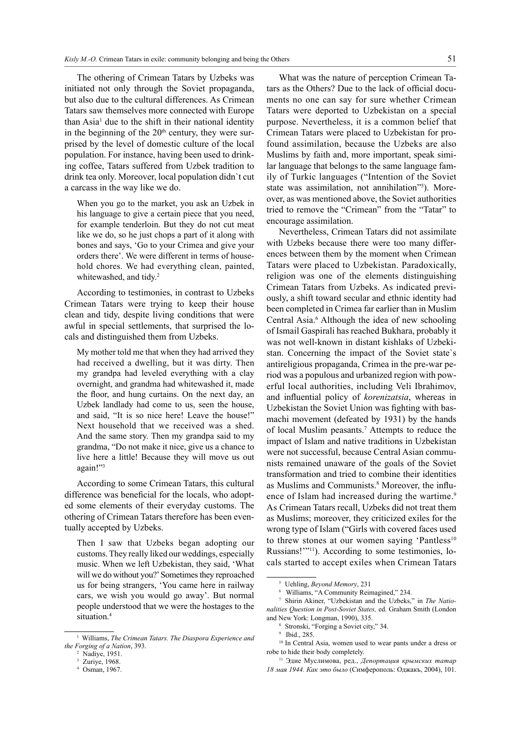The othering of Crimean Tatars by Uzbeks was initiated not only through the Soviet propaganda, but also due to the cultural differences. As Crimean Tatars saw themselves more connected with Europe than  $Asia<sup>1</sup>$  due to the shift in their national identity in the beginning of the  $20<sup>th</sup>$  century, they were surprised by the level of domestic culture of the local population. For instance, having been used to drinking coffee, Tatars suffered from Uzbek tradition to drink tea only. Moreover, local population didn`t cut a carcass in the way like we do.

When you go to the market, you ask an Uzbek in his language to give a certain piece that you need, for example tenderloin. But they do not cut meat like we do, so he just chops a part of it along with bones and says, 'Go to your Crimea and give your orders there'. We were different in terms of household chores. We had everything clean, painted, whitewashed, and tidy.<sup>2</sup>

According to testimonies, in contrast to Uzbeks Crimean Tatars were trying to keep their house clean and tidy, despite living conditions that were awful in special settlements, that surprised the locals and distinguished them from Uzbeks.

My mother told me that when they had arrived they had received a dwelling, but it was dirty. Then my grandpa had leveled everything with a clay overnight, and grandma had whitewashed it, made the floor, and hung curtains. On the next day, an Uzbek landlady had come to us, seen the house, and said, "It is so nice here! Leave the house!" Next household that we received was a shed. And the same story. Then my grandpa said to my grandma, "Do not make it nice, give us a chance to live here a little! Because they will move us out again!"3

According to some Crimean Tatars, this cultural difference was beneficial for the locals, who adopted some elements of their everyday customs. The othering of Crimean Tatars therefore has been eventually accepted by Uzbeks.

Then I saw that Uzbeks began adopting our customs. They really liked our weddings, especially music. When we left Uzbekistan, they said, 'What will we do without you?' Sometimes they reproached us for being strangers, 'You came here in railway cars, we wish you would go away'. But normal people understood that we were the hostages to the situation.<sup>4</sup>

What was the nature of perception Crimean Tatars as the Others? Due to the lack of official documents no one can say for sure whether Crimean Tatars were deported to Uzbekistan on a special purpose. Nevertheless, it is a common belief that Crimean Tatars were placed to Uzbekistan for profound assimilation, because the Uzbeks are also Muslims by faith and, more important, speak similar language that belongs to the same language family of Turkic languages ("Intention of the Soviet state was assimilation, not annihilation"5 ). Moreover, as was mentioned above, the Soviet authorities tried to remove the "Crimean" from the "Tatar" to encourage assimilation.

Nevertheless, Crimean Tatars did not assimilate with Uzbeks because there were too many differences between them by the moment when Crimean Tatars were placed to Uzbekistan. Paradoxically, religion was one of the elements distinguishing Crimean Tatars from Uzbeks. As indicated previously, a shift toward secular and ethnic identity had been completed in Crimea far earlier than in Muslim Central Asia.<sup>6</sup> Although the idea of new schooling of Ismail Gaspirali has reached Bukhara, probably it was not well-known in distant kishlaks of Uzbekistan. Concerning the impact of the Soviet state`s antireligious propaganda, Crimea in the pre-war period was a populous and urbanized region with powerful local authorities, including Veli Ibrahimov, and influential policy of *korenizatsia*, whereas in Uzbekistan the Soviet Union was fighting with basmachi movement (defeated by 1931) by the hands of local Muslim peasants.7 Attempts to reduce the impact of Islam and native traditions in Uzbekistan were not successful, because Central Asian communists remained unaware of the goals of the Soviet transformation and tried to combine their identities as Muslims and Communists.<sup>8</sup> Moreover, the influence of Islam had increased during the wartime.<sup>9</sup> As Crimean Tatars recall, Uzbeks did not treat them as Muslims; moreover, they criticized exiles for the wrong type of Islam ("Girls with covered faces used to threw stones at our women saying 'Pantless<sup>10</sup> Russians!"<sup>11</sup>). According to some testimonies, locals started to accept exiles when Crimean Tatars

<sup>1</sup> Williams, *The Crimean Tatars. The Diaspora Experience and the Forging of a Nation*, 393.

Nadiye, 1951.

Zuriye, 1968.

<sup>4</sup> Osman, 1967.

<sup>5</sup> Uehling, *Beyond Memory*, 231

Williams, "A Community Reimagined," 234.

Shirin Akiner, "Uzbekistan and the Uzbeks," in *The Nationalities Question in Post-Soviet States,* ed. Graham Smith (London and New York: Longman, 1990), 335.

<sup>8</sup> Stronski, "Forging a Soviet city," 34.

<sup>9</sup> Ibid., 285.

<sup>&</sup>lt;sup>10</sup> In Central Asia, women used to wear pants under a dress or robe to hide their body completely.

<sup>11</sup> Эдие Муслимова, ред., *Депортация крымских татар 18 мая 1944. Как это было* (Симферополь: Оджакъ, 2004), 101.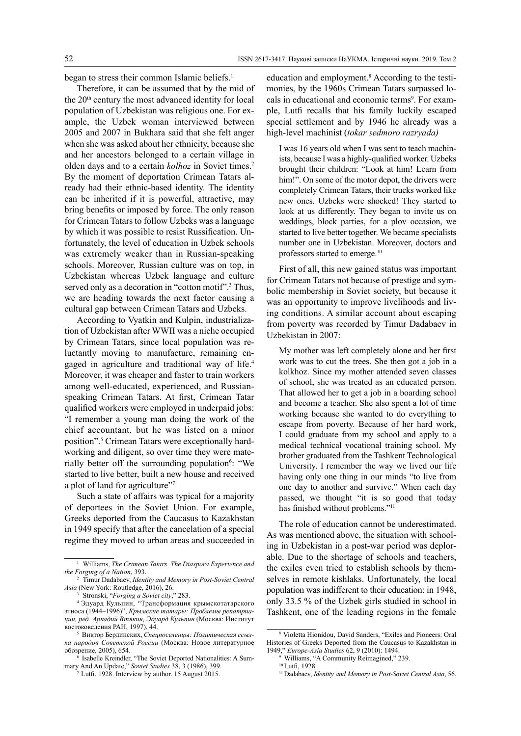began to stress their common Islamic beliefs.<sup>1</sup>

Therefore, it can be assumed that by the mid of the 20th century the most advanced identity for local population of Uzbekistan was religious one. For example, the Uzbek woman interviewed between 2005 and 2007 in Bukhara said that she felt anger when she was asked about her ethnicity, because she and her ancestors belonged to a certain village in olden days and to a certain *kolhoz* in Soviet times.<sup>2</sup> By the moment of deportation Crimean Tatars already had their ethnic-based identity. The identity can be inherited if it is powerful, attractive, may bring benefits or imposed by force. The only reason for Crimean Tatars to follow Uzbeks was a language by which it was possible to resist Russification. Unfortunately, the level of education in Uzbek schools was extremely weaker than in Russian-speaking schools. Moreover, Russian culture was on top, in Uzbekistan whereas Uzbek language and culture served only as a decoration in "cotton motif".<sup>3</sup> Thus, we are heading towards the next factor causing a cultural gap between Crimean Tatars and Uzbeks.

According to Vyatkin and Kulpin, industrialization of Uzbekistan after WWII was a niche occupied by Crimean Tatars, since local population was reluctantly moving to manufacture, remaining engaged in agriculture and traditional way of life.<sup>4</sup> Moreover, it was cheaper and faster to train workers among well-educated, experienced, and Russianspeaking Crimean Tatars. At first, Crimean Tatar qualified workers were employed in underpaid jobs: "I remember a young man doing the work of the chief accountant, but he was listed on a minor position".<sup>5</sup> Crimean Tatars were exceptionally hardworking and diligent, so over time they were materially better off the surrounding population<sup>6</sup>: "We started to live better, built a new house and received a plot of land for agriculture"7

Such a state of affairs was typical for a majority of deportees in the Soviet Union. For example, Greeks deported from the Caucasus to Kazakhstan in 1949 specify that after the cancelation of a special regime they moved to urban areas and succeeded in

education and employment.<sup>8</sup> According to the testimonies, by the 1960s Crimean Tatars surpassed locals in educational and economic terms<sup>9</sup>. For example, Lutfi recalls that his family luckily escaped special settlement and by 1946 he already was a high-level machinist (*tokar sedmoro razryada)*

I was 16 years old when I was sent to teach machinists, because I was a highly-qualified worker. Uzbeks brought their children: "Look at him! Learn from him!". On some of the motor depot, the drivers were completely Crimean Tatars, their trucks worked like new ones. Uzbeks were shocked! They started to look at us differently. They began to invite us on weddings, block parties, for a plov occasion, we started to live better together. We became specialists number one in Uzbekistan. Moreover, doctors and professors started to emerge.10

First of all, this new gained status was important for Crimean Tatars not because of prestige and symbolic membership in Soviet society, but because it was an opportunity to improve livelihoods and living conditions. A similar account about escaping from poverty was recorded by Timur Dadabaev in Uzbekistan in 2007:

My mother was left completely alone and her first work was to cut the trees. She then got a job in a kolkhoz. Since my mother attended seven classes of school, she was treated as an educated person. That allowed her to get a job in a boarding school and become a teacher. She also spent a lot of time working because she wanted to do everything to escape from poverty. Because of her hard work, I could graduate from my school and apply to a medical technical vocational training school. My brother graduated from the Tashkent Technological University. I remember the way we lived our life having only one thing in our minds "to live from one day to another and survive." When each day passed, we thought "it is so good that today has finished without problems."11

The role of education cannot be underestimated. As was mentioned above, the situation with schooling in Uzbekistan in a post-war period was deplorable. Due to the shortage of schools and teachers, the exiles even tried to establish schools by themselves in remote kishlaks. Unfortunately, the local population was indifferent to their education: in 1948, only 33.5 % of the Uzbek girls studied in school in Tashkent, one of the leading regions in the female

<sup>1</sup> Williams, *The Crimean Tatars. The Diaspora Experience and the Forging of a Nation*, 393.

<sup>2</sup> Timur Dadabaev, *Identity and Memory in Post-Soviet Central Asia* (New York: Routledge, 2016), 26.

<sup>3</sup> Stronski, "*Forging a Soviet city*," 283.

<sup>4</sup> Эдуард Кульпин, "Трансформация крымскотатарского этноса (1944–1996)", *Крымские татары: Проблемы репатриации, ред. Аркадий Втякин, Эдуард Кульпин* (Москва: Институт востоковедения РАН, 1997), 44. 5

Виктор Бердинских, *Спецпоселенцы: Политическая ссылка народов Советской России* (Москва: Новое литературное обозрение, 2005), 654.

 $6$  Isabelle Kreindler, "The Soviet Deported Nationalities: A Summary And An Update," Soviet Studies 38, 3 (1986), 399.

<sup>&</sup>lt;sup>7</sup> Lutfi, 1928. Interview by author. 15 August 2015.

<sup>8</sup> Violetta Hionidou, David Sanders, "Exiles and Pioneers: Oral Histories of Greeks Deported from the Caucasus to Kazakhstan in 1949," *Europe-Asia Studies* 62, 9 (2010): 1494.

<sup>9</sup> Williams, "A Community Reimagined," 239.

<sup>10</sup>Lutfi, 1928.

<sup>11</sup> Dadabaev, *Identity and Memory in Post-Soviet Central Asia*, 56.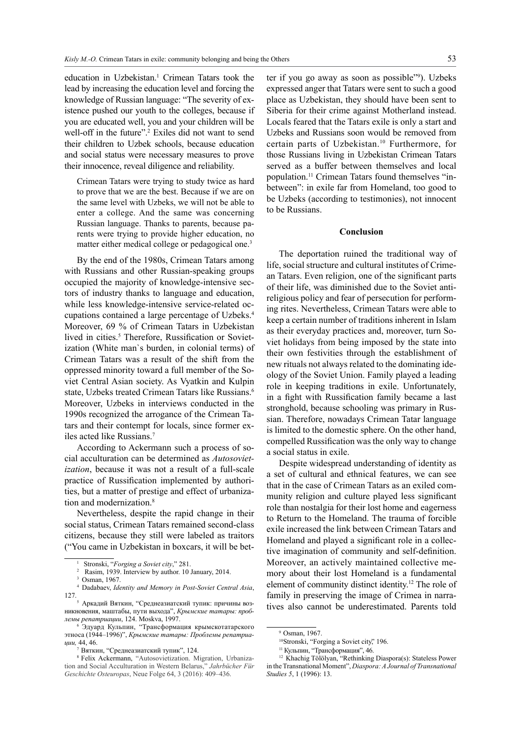education in Uzbekistan.<sup>1</sup> Crimean Tatars took the lead by increasing the education level and forcing the knowledge of Russian language: "The severity of existence pushed our youth to the colleges, because if you are educated well, you and your children will be well-off in the future".<sup>2</sup> Exiles did not want to send their children to Uzbek schools, because education and social status were necessary measures to prove their innocence, reveal diligence and reliability.

Crimean Tatars were trying to study twice as hard to prove that we are the best. Because if we are on the same level with Uzbeks, we will not be able to enter a college. And the same was concerning Russian language. Thanks to parents, because parents were trying to provide higher education, no matter either medical college or pedagogical one.3

By the end of the 1980s, Crimean Tatars among with Russians and other Russian-speaking groups occupied the majority of knowledge-intensive sectors of industry thanks to language and education, while less knowledge-intensive service-related occupations contained a large percentage of Uzbeks.<sup>4</sup> Moreover, 69 % of Crimean Tatars in Uzbekistan lived in cities.<sup>5</sup> Therefore, Russification or Sovietization (White man`s burden, in colonial terms) of Crimean Tatars was a result of the shift from the oppressed minority toward a full member of the Soviet Central Asian society. As Vyatkin and Kulpin state, Uzbeks treated Crimean Tatars like Russians.<sup>6</sup> Moreover, Uzbeks in interviews conducted in the 1990s recognized the arrogance of the Crimean Tatars and their contempt for locals, since former exiles acted like Russians.7

According to Ackermann such a process of social acculturation can be determined as *Autosovietization*, because it was not a result of a full-scale practice of Russification implemented by authorities, but a matter of prestige and effect of urbanization and modernization.<sup>8</sup>

Nevertheless, despite the rapid change in their social status, Crimean Tatars remained second-class citizens, because they still were labeled as traitors ("You came in Uzbekistan in boxcars, it will be bet-

ter if you go away as soon as possible"9 ). Uzbeks expressed anger that Tatars were sent to such a good place as Uzbekistan, they should have been sent to Siberia for their crime against Motherland instead. Locals feared that the Tatars exile is only a start and Uzbeks and Russians soon would be removed from certain parts of Uzbekistan.10 Furthermore, for those Russians living in Uzbekistan Crimean Tatars served as a buffer between themselves and local population.11 Crimean Tatars found themselves "inbetween": in exile far from Homeland, too good to be Uzbeks (according to testimonies), not innocent to be Russians.

### **Conclusion**

The deportation ruined the traditional way of life, social structure and cultural institutes of Crimean Tatars. Even religion, one of the significant parts of their life, was diminished due to the Soviet antireligious policy and fear of persecution for performing rites. Nevertheless, Crimean Tatars were able to keep a certain number of traditions inherent in Islam as their everyday practices and, moreover, turn Soviet holidays from being imposed by the state into their own festivities through the establishment of new rituals not always related to the dominating ideology of the Soviet Union. Family played a leading role in keeping traditions in exile. Unfortunately, in a fight with Russification family became a last stronghold, because schooling was primary in Russian. Therefore, nowadays Crimean Tatar language is limited to the domestic sphere. On the other hand, compelled Russification was the only way to change a social status in exile.

Despite widespread understanding of identity as a set of cultural and ethnical features, we can see that in the case of Crimean Tatars as an exiled community religion and culture played less significant role than nostalgia for their lost home and eagerness to Return to the Homeland. The trauma of forcible exile increased the link between Crimean Tatars and Homeland and played a significant role in a collective imagination of community and self-definition. Moreover, an actively maintained collective memory about their lost Homeland is a fundamental element of community distinct identity.12 The role of family in preserving the image of Crimea in narratives also cannot be underestimated. Parents told

<sup>1</sup> Stronski, "*Forging a Soviet city*," 281.

Rasim, 1939. Interview by author. 10 January, 2014.

Osman, 1967.

<sup>4</sup> Dadabaev, *Identity and Memory in Post-Soviet Central Asia*, 127.

Аркадий Вяткин, "Среднеазиатский тупик: причины возникновения, маштабы, пути выхода", *Крымские татары: проблемы репатриации*, 124. Moskva, 1997.

<sup>6</sup> Эдуард Кульпин, "Трансформация крымскотатарского этноса (1944–1996)", *Крымские татары: Проблемы репатриации,* 44, 46.

<sup>7</sup> Вяткин, "Среднеазиатский тупик", 124.

<sup>8</sup> Felix Ackermann, "Autosovietization. Migration, Urbanization and Social Acculturation in Western Belarus," *Jahrbücher Für Geschichte Osteuropas*, Neue Folge 64, 3 (2016): 409–436.

<sup>9</sup> Osman, 1967.

<sup>&</sup>lt;sup>10</sup>Stronski, "Forging a Soviet city," 196.

<sup>&</sup>lt;sup>11</sup> Кульпин, "Трансформация", 46.<br><sup>12</sup> Khachig Tölölyan, "Rethinking Diaspora(s): Stateless Power in the Transnational Moment", *Diaspora: A Journal of Transnational Studies 5*, 1 (1996): 13.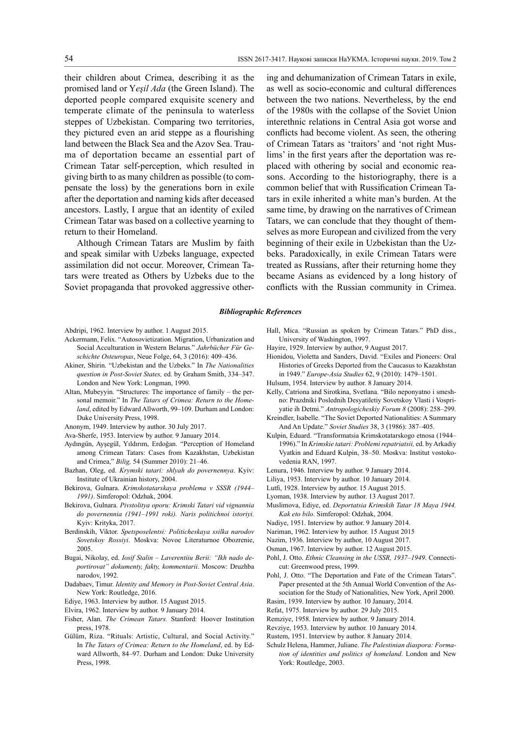their children about Crimea, describing it as the promised land or Y*eşil Ada* (the Green Island). The deported people compared exquisite scenery and temperate climate of the peninsula to waterless steppes of Uzbekistan. Comparing two territories, they pictured even an arid steppe as a flourishing land between the Black Sea and the Azov Sea. Trauma of deportation became an essential part of Crimean Tatar self-perception, which resulted in giving birth to as many children as possible (to compensate the loss) by the generations born in exile after the deportation and naming kids after deceased ancestors. Lastly, I argue that an identity of exiled Crimean Tatar was based on a collective yearning to return to their Homeland.

Although Crimean Tatars are Muslim by faith and speak similar with Uzbeks language, expected assimilation did not occur. Moreover, Crimean Tatars were treated as Others by Uzbeks due to the Soviet propaganda that provoked aggressive other-

ing and dehumanization of Crimean Tatars in exile, as well as socio-economic and cultural differences between the two nations. Nevertheless, by the end of the 1980s with the collapse of the Soviet Union interethnic relations in Central Asia got worse and conflicts had become violent. As seen, the othering of Crimean Tatars as 'traitors' and 'not right Muslims' in the first years after the deportation was replaced with othering by social and economic reasons. According to the historiography, there is a common belief that with Russification Crimean Tatars in exile inherited a white man's burden. At the same time, by drawing on the narratives of Crimean Tatars, we can conclude that they thought of themselves as more European and civilized from the very beginning of their exile in Uzbekistan than the Uzbeks. Paradoxically, in exile Crimean Tatars were treated as Russians, after their returning home they became Asians as evidenced by a long history of conflicts with the Russian community in Crimea.

#### *Bibliographic References*

Abdripi, 1962. Interview by author. 1 August 2015.

- Ackermann, Felix. "Autosovietization. Migration, Urbanization and Social Acculturation in Western Belarus." *Jahrbücher Für Geschichte Osteuropas*, Neue Folge, 64, 3 (2016): 409–436.
- Akiner, Shirin. "Uzbekistan and the Uzbeks." In *The Nationalities question in Post-Soviet States,* ed. by Graham Smith, 334–347. London and New York: Longman, 1990.
- Altan, Mubeyyin. "Structures: The importance of family the personal memoir." In *The Tatars of Crimea: Return to the Homeland*, edited by Edward Allworth, 99–109. Durham and London: Duke University Press, 1998.
- Anonym, 1949. Interview by author. 30 July 2017.

Ava-Sherfe, 1953. Interview by author. 9 January 2014.

- Aydıngün, Ayşegül, Yıldırım, Erdoğan. "Perception of Homeland among Crimean Tatars: Cases from Kazakhstan, Uzbekistan and Crimea," *Bilig,* 54 (Summer 2010): 21–46.
- Bazhan, Oleg, ed. *Krymski tatari: shlyah do povernennya*. Kyiv: Institute of Ukrainian history, 2004.
- Bekirova, Gulnara. *Krimskotatarskaya problema v SSSR (1944– 1991)*. Simferopol: Odzhak, 2004.
- Bekirova, Gulnara. *Pivstolitya oporu: Krimski Tatari vid vignannia do povernennia (1941–1991 roki). Naris politichnoi istoriyi.*  Kyiv: Krityka, 2017.
- Berdinskih, Viktor. *Spetsposelentsi: Politicheskaya ssilka narodov Sovetskoy Rossiyi*. Moskva: Novoe Literaturnoe Obozrenie, 2005.
- Bugai, Nikolay, ed. *Iosif Stalin Laverentiiu Berii: "Ikh nado deportirovat" dokumenty, fakty, kommentarii*. Moscow: Druzhba narodov, 1992.
- Dadabaev, Timur. *Identity and Memory in Post-Soviet Central Asia*. New York: Routledge, 2016.
- Ediye, 1963. Interview by author. 15 August 2015.
- Elvira, 1962. Interview by author. 9 January 2014.
- Fisher, Alan. *The Crimean Tatars.* Stanford: Hoover Institution press, 1978.
- Gülüm, Riza. "Rituals: Artistic, Cultural, and Social Activity." In *The Tatars of Crimea: Return to the Homeland*, ed. by Edward Allworth, 84–97. Durham and London: Duke University Press, 1998.
- Hall, Mica. "Russian as spoken by Crimean Tatars." PhD diss., University of Washington, 1997.
- Hayire, 1929. Interview by author, 9 August 2017.
- Hionidou, Violetta and Sanders, David. "Exiles and Pioneers: Oral Histories of Greeks Deported from the Caucasus to Kazakhstan in 1949." *Europe-Asia Studies* 62, 9 (2010): 1479–1501.
- Hulsum, 1954. Interview by author. 8 January 2014.
- Kelly, Catriona and Sirotkina, Svetlana. "Bilo neponyatno i smeshno: Prazdniki Poslednih Desyatiletiy Sovetskoy Vlasti i Vospriyatie ih Detmi." *Antropologicheskiy Forum 8* (2008): 258–299.
- Kreindler, Isabelle. "The Soviet Deported Nationalities: A Summary And An Update." *Soviet Studies* 38, 3 (1986): 387–405.
- Kulpin, Eduard. "Transformatsia Krimskotatarskogo etnosa (1944– 1996)." in *Krimskie tatari: Problemi repatriatsii,* ed. by Arkadiy Vyatkin and Eduard Kulpin, 38–50. Moskva: Institut vostokovedenia RAN, 1997.
- Lenura, 1946. Interview by author. 9 January 2014.
- Liliya, 1953. Interview by author. 10 January 2014.
- Lutfi, 1928. Interview by author. 15 August 2015.
- Lyoman, 1938. Interview by author. 13 August 2017.
- Muslimova, Ediye, ed. *Deportatsia Krimskih Tatar 18 Maya 1944. Kak eto bilo*. Simferopol: Odzhak, 2004.
- Nadiye, 1951. Interview by author. 9 January 2014.
- Nariman, 1962. Interview by author. 15 August 2015
- Nazim, 1936. Interview by author, 10 August 2017.
- Osman, 1967. Interview by author. 12 August 2015.
- Pohl, J. Otto. *Ethnic Cleansing in the USSR, 1937–1949*. Connecticut: Greenwood press, 1999.
- Pohl, J. Otto. "The Deportation and Fate of the Crimean Tatars". Paper presented at the 5th Annual World Convention of the Association for the Study of Nationalities, New York, April 2000.
- Rasim, 1939. Interview by author. 10 January, 2014.
- Refat, 1975. Interview by author. 29 July 2015.
- Remziye, 1958. Interview by author. 9 January 2014.
- Revziye, 1953. Interview by author. 10 January 2014.
- Rustem, 1951. Interview by author. 8 January 2014.
- Schulz Helena, Hammer, Juliane. *The Palestinian diaspora: Formation of identities and politics of homeland*. London and New York: Routledge, 2003.